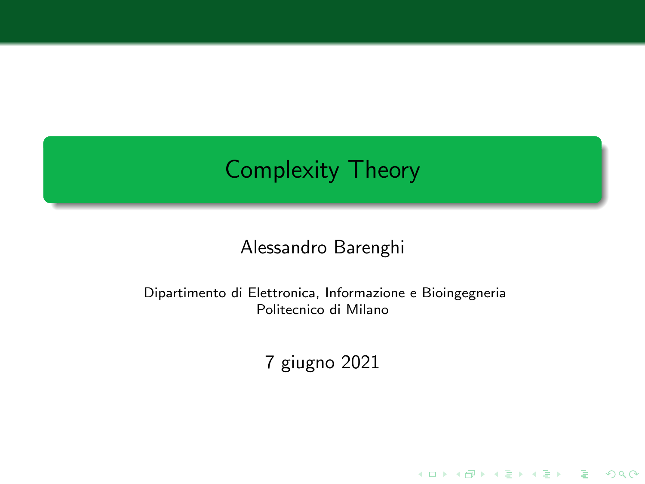# Complexity Theory

#### Alessandro Barenghi

Dipartimento di Elettronica, Informazione e Bioingegneria Politecnico di Milano

7 giugno 2021

K ロ ▶ K @ ▶ K 할 ▶ K 할 ▶ | 할 | © 9 Q @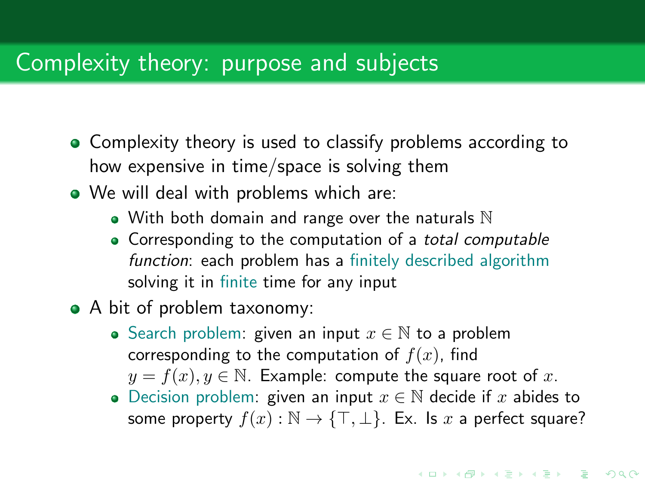# Complexity theory: purpose and subjects

- Complexity theory is used to classify problems according to how expensive in time/space is solving them
- We will deal with problems which are:
	- $\bullet$  With both domain and range over the naturals  $\mathbb N$
	- Corresponding to the computation of a *total computable* function: each problem has a finitely described algorithm solving it in finite time for any input
- A bit of problem taxonomy:
	- Search problem: given an input  $x \in \mathbb{N}$  to a problem corresponding to the computation of  $f(x)$ , find  $y = f(x), y \in \mathbb{N}$ . Example: compute the square root of x.
	- Decision problem: given an input  $x \in \mathbb{N}$  decide if x abides to some property  $f(x): \mathbb{N} \to {\{\top, \bot\}}$ . Ex. Is x a perfect square?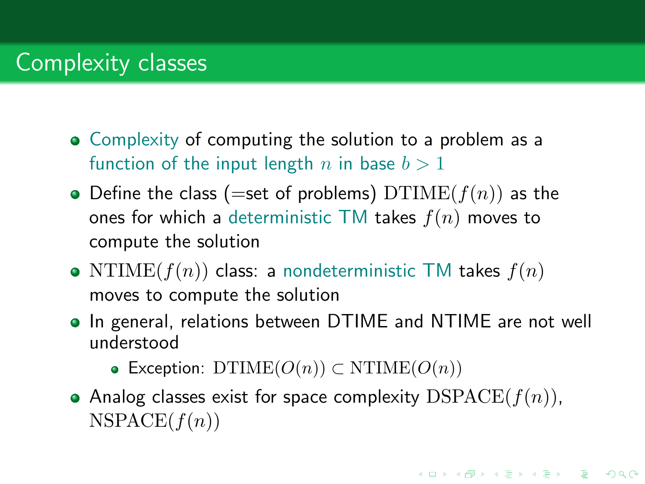# Complexity classes

- Complexity of computing the solution to a problem as a function of the input length n in base  $b > 1$
- Define the class (=set of problems)  $DTIME(f(n))$  as the ones for which a deterministic TM takes  $f(n)$  moves to compute the solution
- NTIME( $f(n)$ ) class: a nondeterministic TM takes  $f(n)$ moves to compute the solution
- In general, relations between DTIME and NTIME are not well understood

• Exception: DTIME $(O(n))$  ⊂ NTIME $(O(n))$ 

• Analog classes exist for space complexity  $\mathrm{DSPACE}(f(n))$ ,  $NSPACE(f(n))$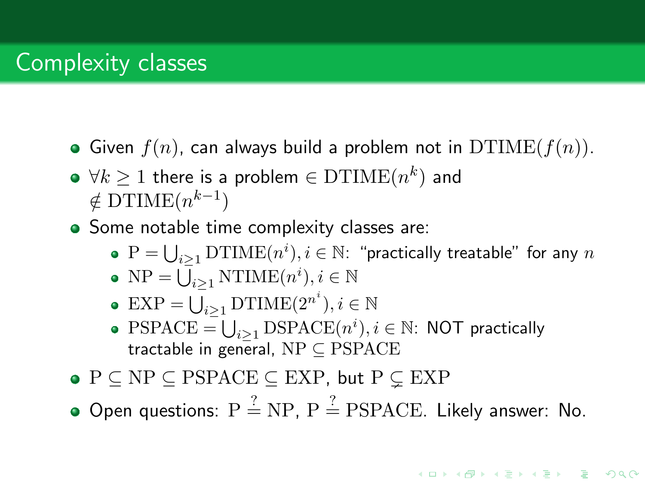# Complexity classes

- Given  $f(n)$ , can always build a problem not in  $DTIME(f(n))$ .
- $\forall k \geq 1$  there is a problem  $\in \mathrm{DTIME}(n^k)$  and  $\notin$  DTIME( $n^{k-1}$ )
- Some notable time complexity classes are:
	- $\mathrm{P}=\bigcup_{i\geq 1}\mathrm{DTIME}(n^i), i\in\mathbb{N}$ : "practically treatable" for any  $n$
	- $NP = \overline{\bigcup}_{i \geq 1} NTIME(n^i), i \in \mathbb{N}$
	- $\text{EXP} = \bigcup_{i \geq 1} \text{DTIME}(2^{n^i}), i \in \mathbb{N}$
	- $\text{PSPACE} = \bigcup_{i \geq 1} \text{DSPACE}(n^i), i \in \mathbb{N}$ : NOT practically tractable in general,  $NP \subseteq PSPACE$
- $\bullet$  P  $\subseteq$  NP  $\subseteq$  PSPACE  $\subseteq$  EXP, but P  $\subseteq$  EXP
- Open questions:  $P \stackrel{?}{=} NP$ ,  $P \stackrel{?}{=} PSPACE$ . Likely answer: No.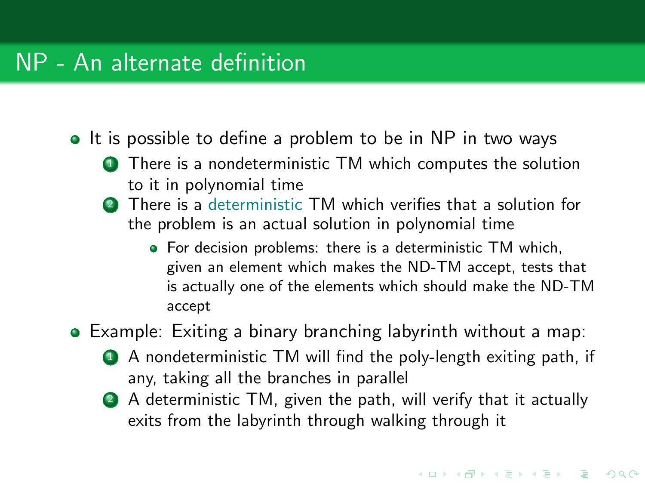# NP - An alternate definition

• It is possible to define a problem to be in NP in two ways

- **1** There is a nondeterministic TM which computes the solution to it in polynomial time
- <sup>2</sup> There is a deterministic TM which verifies that a solution for the problem is an actual solution in polynomial time
	- For decision problems: there is a deterministic TM which. given an element which makes the ND-TM accept, tests that is actually one of the elements which should make the ND-TM accept

Example: Exiting a binary branching labyrinth without a map:

- <sup>1</sup> A nondeterministic TM will find the poly-length exiting path, if any, taking all the branches in parallel
- 2 A deterministic TM, given the path, will verify that it actually exits from the labyrinth through walking through it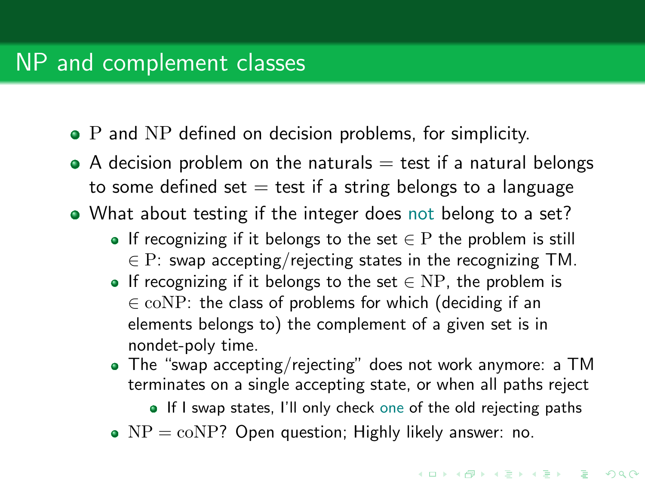#### NP and complement classes

- P and NP defined on decision problems, for simplicity.
- $\bullet$  A decision problem on the naturals  $=$  test if a natural belongs to some defined set  $=$  test if a string belongs to a language
- What about testing if the integer does not belong to a set?
	- If recognizing if it belongs to the set  $\in$  P the problem is still  $E \in P$ : swap accepting/rejecting states in the recognizing TM.
	- If recognizing if it belongs to the set  $\in$  NP, the problem is  $\epsilon \in \text{coNP}$ : the class of problems for which (deciding if an elements belongs to) the complement of a given set is in nondet-poly time.
	- The "swap accepting/rejecting" does not work anymore: a TM terminates on a single accepting state, or when all paths reject
		- If I swap states, I'll only check one of the old rejecting paths
	- $N = \text{coNP}$ ? Open question; Highly likely answer: no.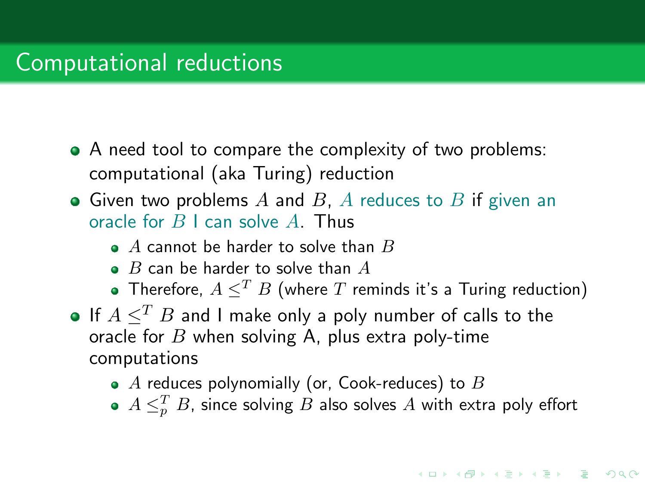# Computational reductions

- A need tool to compare the complexity of two problems: computational (aka Turing) reduction
- $\bullet$  Given two problems A and B, A reduces to B if given an oracle for  $B \perp$  can solve  $A$ . Thus
	- $\bullet$  A cannot be harder to solve than B
	- $\bullet$  B can be harder to solve than A
	- Therefore,  $A \leq^{T} B$  (where T reminds it's a Turing reduction)
- If  $A \leq^T B$  and I make only a poly number of calls to the oracle for  $B$  when solving A, plus extra poly-time computations
	- $\bullet$  A reduces polynomially (or, Cook-reduces) to  $B$
	- $A \leq^T_p B$ , since solving  $B$  also solves  $A$  with extra poly effort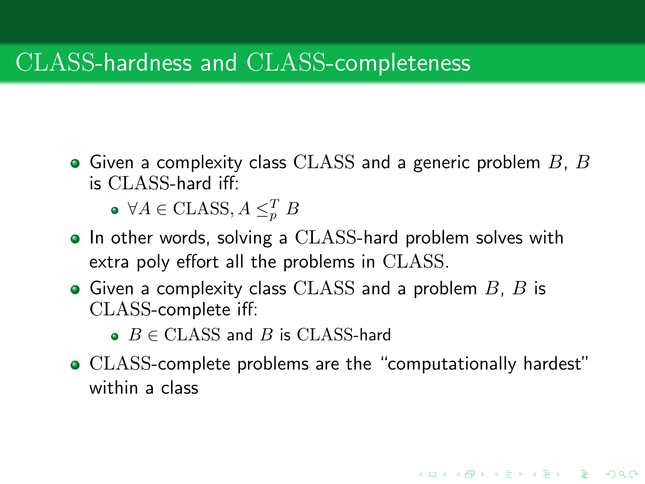# CLASS-hardness and CLASS-completeness

- Given a complexity class  $\text{CLASS}$  and a generic problem  $B$ ,  $B$ is CLASS-hard iff:
	- $\forall A \in \text{CLASS}, A \leq^T_p B$
- In other words, solving a CLASS-hard problem solves with extra poly effort all the problems in CLASS.
- Given a complexity class  $\text{CLASS}$  and a problem  $B$ ,  $B$  is CLASS-complete iff:
	- $B \in CLASS$  and B is CLASS-hard
- CLASS-complete problems are the "computationally hardest" within a class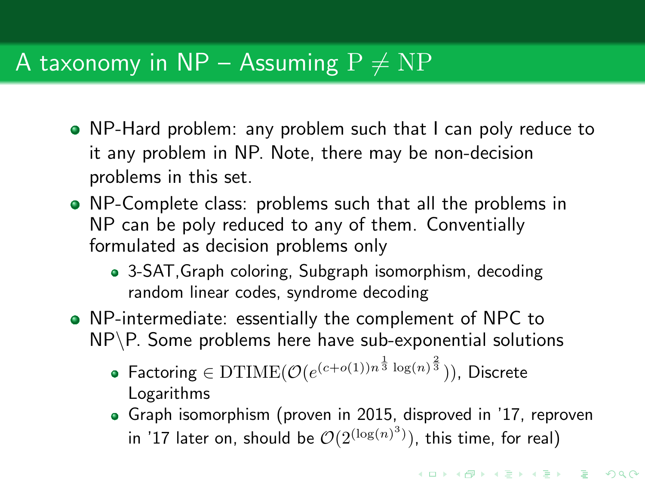# A taxonomy in NP – Assuming  $P \neq NP$

- NP-Hard problem: any problem such that I can poly reduce to it any problem in NP. Note, there may be non-decision problems in this set.
- NP-Complete class: problems such that all the problems in NP can be poly reduced to any of them. Conventially formulated as decision problems only
	- 3-SAT,Graph coloring, Subgraph isomorphism, decoding random linear codes, syndrome decoding
- NP-intermediate: essentially the complement of NPC to NP\P. Some problems here have sub-exponential solutions
	- Factoring  $\in \mathrm{DTIME}(\mathcal{O}(e^{(c+o(1))n^{\frac{1}{3}}\log(n)^{\frac{2}{3}}})),$  Discrete Logarithms
	- Graph isomorphism (proven in 2015, disproved in '17, reproven in '17 later on, should be  $\mathcal{O}(2^{(\log(n)^3)})$ , this time, for real)

KID KA KERKER KING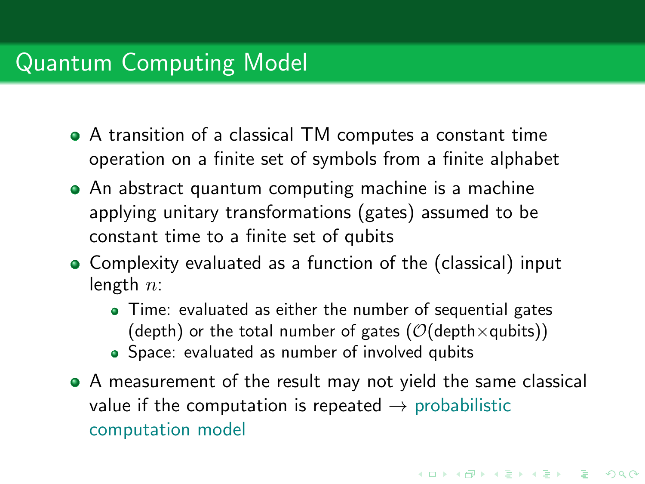# Quantum Computing Model

- A transition of a classical TM computes a constant time operation on a finite set of symbols from a finite alphabet
- An abstract quantum computing machine is a machine applying unitary transformations (gates) assumed to be constant time to a finite set of qubits
- Complexity evaluated as a function of the (classical) input length  $n$ :
	- Time: evaluated as either the number of sequential gates (depth) or the total number of gates ( $\mathcal{O}$ (depth $\times$ qubits))
	- Space: evaluated as number of involved qubits
- A measurement of the result may not yield the same classical value if the computation is repeated  $\rightarrow$  probabilistic computation model

**KORKAR KERKER E VOOR**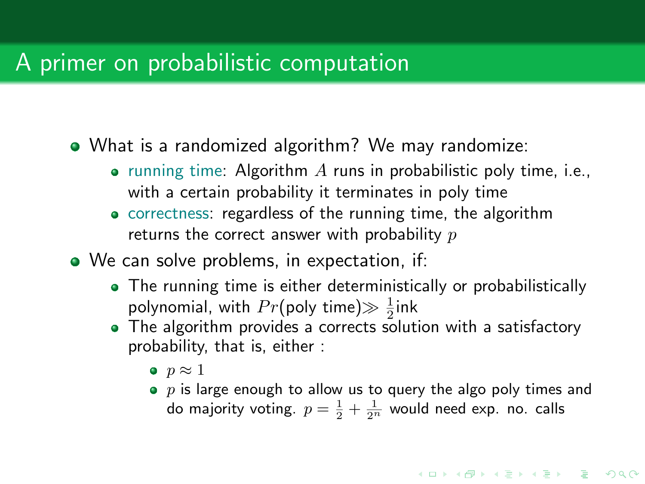# A primer on probabilistic computation

- What is a randomized algorithm? We may randomize:
	- $\bullet$  running time: Algorithm  $A$  runs in probabilistic poly time, i.e., with a certain probability it terminates in poly time
	- correctness: regardless of the running time, the algorithm returns the correct answer with probability  $p$
- We can solve problems, in expectation, if:
	- The running time is either deterministically or probabilistically polynomial, with  $Pr(\text{poly time}) \gg \frac{1}{2}$ ink
	- The algorithm provides a corrects solution with a satisfactory probability, that is, either :
		- $p \approx 1$
		- $\bullet$  p is large enough to allow us to query the algo poly times and do majority voting.  $p=\frac{1}{2}+\frac{1}{2^n}$  would need exp. no. calls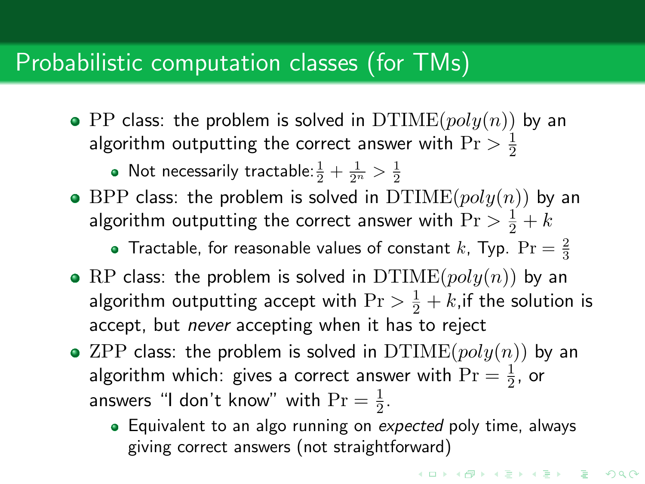#### Probabilistic computation classes (for TMs)

• PP class: the problem is solved in  $DTIME(poly(n))$  by an algorithm outputting the correct answer with  $\mathrm{Pr}>\frac{1}{2}$ 2

Not necessarily tractable:  $\frac{1}{2} + \frac{1}{2^n} > \frac{1}{2}$ 

 $\bullet$  BPP class: the problem is solved in  $DTIME(poly(n))$  by an algorithm outputting the correct answer with  $\Pr > \frac{1}{2} + k$ 

Tractable, for reasonable values of constant  $k$ , Typ.  $\Pr = \frac{2}{3}$ 

- RP class: the problem is solved in  $DTIME(poly(n))$  by an algorithm outputting accept with  $\Pr > \frac{1}{2} + k$ ,if the solution is accept, but never accepting when it has to reject
- ZPP class: the problem is solved in  $DTIME(poly(n))$  by an algorithm which: gives a correct answer with  $\mathrm{Pr}=\frac{1}{2}$ , or answers "I don't know" with  $Pr = \frac{1}{2}$ .
	- Equivalent to an algo running on expected poly time, always giving correct answers (not straightforward)

**KORK EXTER IT AGA**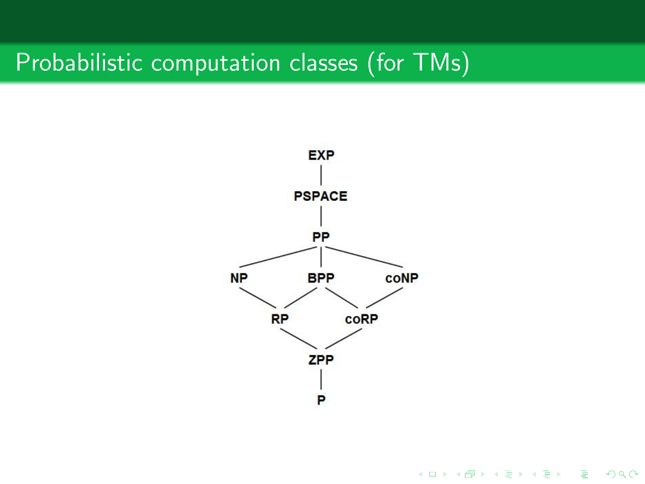# Probabilistic computation classes (for TMs)



K ロ X (日) X (日) X (日) X (日) X (日) X (日) X (日) X (日) X (日) X (日) X (日) X (日)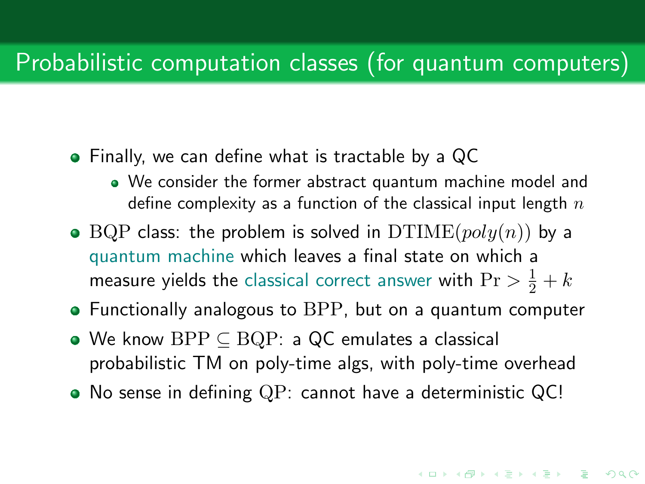# Probabilistic computation classes (for quantum computers)

- Finally, we can define what is tractable by a QC
	- We consider the former abstract quantum machine model and define complexity as a function of the classical input length  $n$
- BQP class: the problem is solved in  $DTIME(poly(n))$  by a quantum machine which leaves a final state on which a measure yields the classical correct answer with  $\Pr > \frac{1}{2} + k$
- Functionally analogous to BPP, but on a quantum computer
- We know BPP ⊆ BQP: a QC emulates a classical probabilistic TM on poly-time algs, with poly-time overhead
- No sense in defining QP: cannot have a deterministic QC!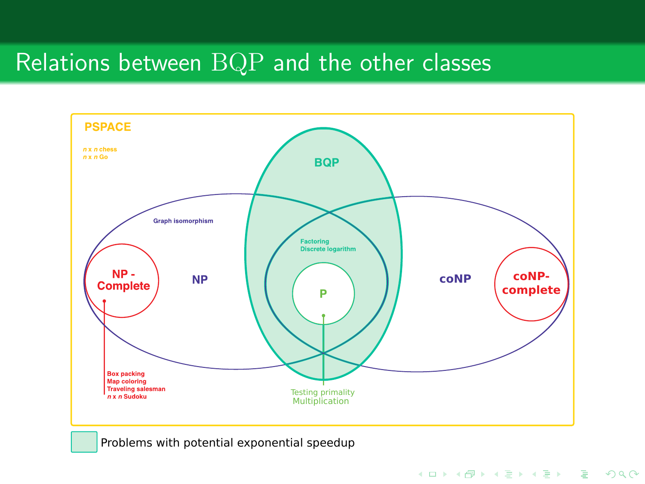# Relations between BQP and the other classes



K ロ ▶ K @ ▶ K 할 ▶ K 할 ▶ | 할 | © 9 Q @